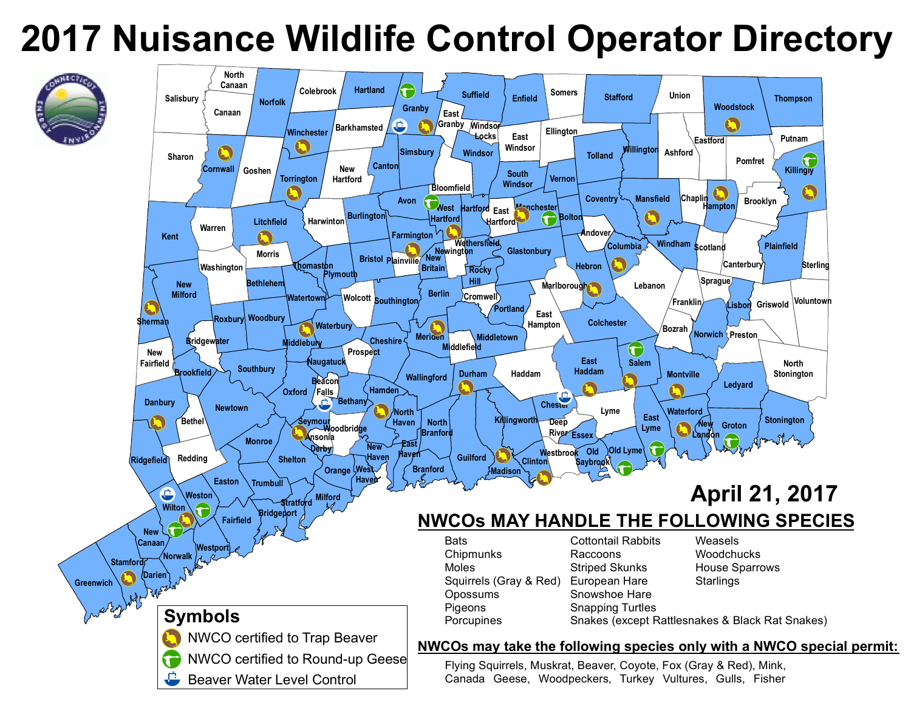

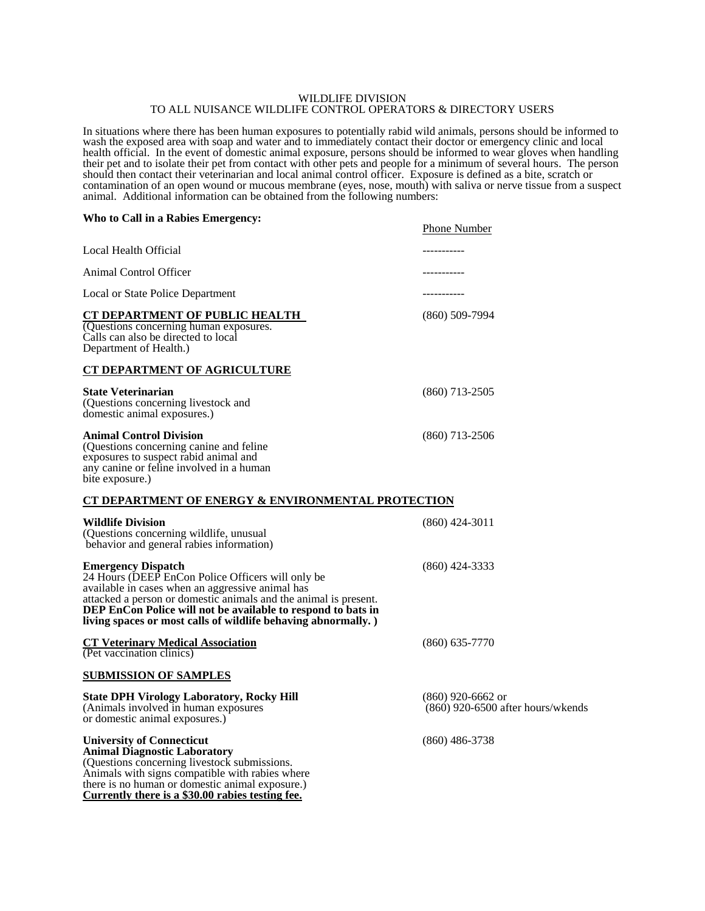#### WILDLIFE DIVISION TO ALL NUISANCE WILDLIFE CONTROL OPERATORS & DIRECTORY USERS

In situations where there has been human exposures to potentially rabid wild animals, persons should be informed to wash the exposed area with soap and water and to immediately contact their doctor or emergency clinic and local health official. In the event of domestic animal exposure, persons should be informed to wear gloves when handling their pet and to isolate their pet from contact with other pets and people for a minimum of several hours. The person should then contact their veterinarian and local animal control officer. Exposure is defined as a bite, scratch or contamination of an open wound or mucous membrane (eyes, nose, mouth) with saliva or nerve tissue from a suspect animal. Additional information can be obtained from the following numbers:

#### **Who to Call in a Rabies Emergency:** Phone Number

**Currently there is a \$30.00 rabies testing fee.** 

|                                                                                                                                                                                                                                                                                                                                         | <u>Phone</u> in unified                                    |
|-----------------------------------------------------------------------------------------------------------------------------------------------------------------------------------------------------------------------------------------------------------------------------------------------------------------------------------------|------------------------------------------------------------|
| Local Health Official                                                                                                                                                                                                                                                                                                                   | ----------                                                 |
| Animal Control Officer                                                                                                                                                                                                                                                                                                                  | ----------                                                 |
| Local or State Police Department                                                                                                                                                                                                                                                                                                        | ----------                                                 |
| <b>CT DEPARTMENT OF PUBLIC HEALTH</b><br>Questions concerning human exposures.<br>Calls can also be directed to local<br>Department of Health.)                                                                                                                                                                                         | $(860)$ 509-7994                                           |
| <b>CT DEPARTMENT OF AGRICULTURE</b>                                                                                                                                                                                                                                                                                                     |                                                            |
| <b>State Veterinarian</b><br>(Questions concerning livestock and<br>domestic animal exposures.)                                                                                                                                                                                                                                         | $(860)$ 713-2505                                           |
| <b>Animal Control Division</b><br>(Questions concerning canine and feline)<br>exposures to suspect rabid animal and<br>any canine or feline involved in a human<br>bite exposure.)                                                                                                                                                      | $(860)$ 713-2506                                           |
| CT DEPARTMENT OF ENERGY & ENVIRONMENTAL PROTECTION                                                                                                                                                                                                                                                                                      |                                                            |
| <b>Wildlife Division</b><br>(Questions concerning wildlife, unusual<br>behavior and general rabies information)                                                                                                                                                                                                                         | $(860)$ 424-3011                                           |
| <b>Emergency Dispatch</b><br>24 Hours (DEEP EnCon Police Officers will only be<br>available in cases when an aggressive animal has<br>attacked a person or domestic animals and the animal is present.<br>DEP EnCon Police will not be available to respond to bats in<br>living spaces or most calls of wildlife behaving abnormally.) | $(860)$ 424-3333                                           |
| <b>CT Veterinary Medical Association</b><br>(Pet vaccination clinics)                                                                                                                                                                                                                                                                   | $(860)$ 635-7770                                           |
| <b>SUBMISSION OF SAMPLES</b>                                                                                                                                                                                                                                                                                                            |                                                            |
| <b>State DPH Virology Laboratory, Rocky Hill</b><br>(Animals involved in human exposures<br>or domestic animal exposures.)                                                                                                                                                                                                              | $(860)$ 920-6662 or<br>$(860)$ 920-6500 after hours/wkends |
| <b>University of Connecticut</b><br><b>Animal Diagnostic Laboratory</b><br>(Questions concerning livestock submissions.<br>Animals with signs compatible with rabies where<br>there is no human or domestic animal exposure.)                                                                                                           | $(860)$ 486-3738                                           |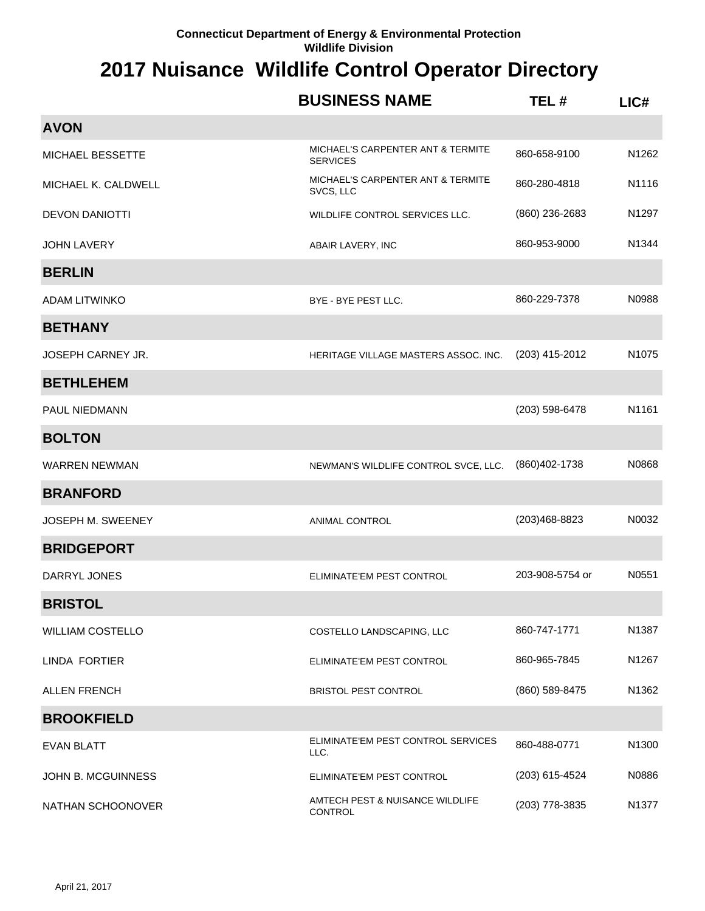|                          | <b>BUSINESS NAME</b>                                 | TEL#            | LIC#              |
|--------------------------|------------------------------------------------------|-----------------|-------------------|
| <b>AVON</b>              |                                                      |                 |                   |
| MICHAEL BESSETTE         | MICHAEL'S CARPENTER ANT & TERMITE<br><b>SERVICES</b> | 860-658-9100    | N1262             |
| MICHAEL K. CALDWELL      | MICHAEL'S CARPENTER ANT & TERMITE<br>SVCS, LLC       | 860-280-4818    | N1116             |
| <b>DEVON DANIOTTI</b>    | WILDLIFE CONTROL SERVICES LLC.                       | (860) 236-2683  | N1297             |
| <b>JOHN LAVERY</b>       | ABAIR LAVERY, INC                                    | 860-953-9000    | N <sub>1344</sub> |
| <b>BERLIN</b>            |                                                      |                 |                   |
| <b>ADAM LITWINKO</b>     | BYE - BYE PEST LLC.                                  | 860-229-7378    | N0988             |
| <b>BETHANY</b>           |                                                      |                 |                   |
| <b>JOSEPH CARNEY JR.</b> | HERITAGE VILLAGE MASTERS ASSOC. INC.                 | (203) 415-2012  | N1075             |
| <b>BETHLEHEM</b>         |                                                      |                 |                   |
| <b>PAUL NIEDMANN</b>     |                                                      | (203) 598-6478  | N1161             |
| <b>BOLTON</b>            |                                                      |                 |                   |
| <b>WARREN NEWMAN</b>     | NEWMAN'S WILDLIFE CONTROL SVCE, LLC.                 | (860) 402-1738  | N0868             |
| <b>BRANFORD</b>          |                                                      |                 |                   |
| <b>JOSEPH M. SWEENEY</b> | ANIMAL CONTROL                                       | (203)468-8823   | N0032             |
| <b>BRIDGEPORT</b>        |                                                      |                 |                   |
| DARRYL JONES             | ELIMINATE'EM PEST CONTROL                            | 203-908-5754 or | N0551             |
| <b>BRISTOL</b>           |                                                      |                 |                   |
| <b>WILLIAM COSTELLO</b>  | COSTELLO LANDSCAPING, LLC                            | 860-747-1771    | N1387             |
| LINDA FORTIER            | ELIMINATE'EM PEST CONTROL                            | 860-965-7845    | N1267             |
| <b>ALLEN FRENCH</b>      | <b>BRISTOL PEST CONTROL</b>                          | (860) 589-8475  | N1362             |
| <b>BROOKFIELD</b>        |                                                      |                 |                   |
| <b>EVAN BLATT</b>        | ELIMINATE'EM PEST CONTROL SERVICES<br>LLC.           | 860-488-0771    | N1300             |
| JOHN B. MCGUINNESS       | ELIMINATE'EM PEST CONTROL                            | (203) 615-4524  | N0886             |
| NATHAN SCHOONOVER        | AMTECH PEST & NUISANCE WILDLIFE<br><b>CONTROL</b>    | (203) 778-3835  | N1377             |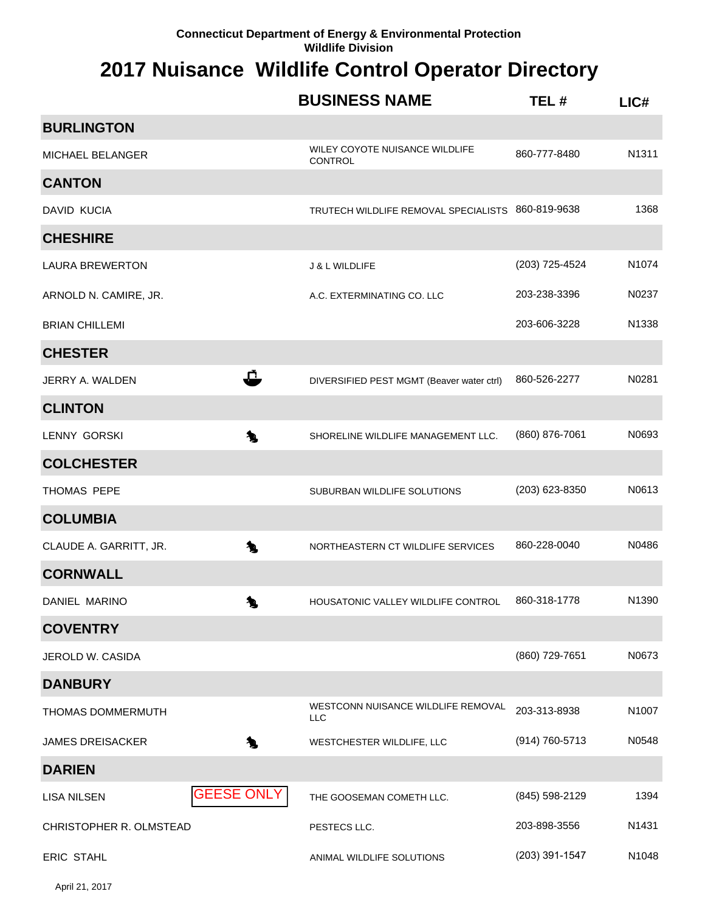|                          |                   | <b>BUSINESS NAME</b>                              | TEL#           | LICH  |
|--------------------------|-------------------|---------------------------------------------------|----------------|-------|
| <b>BURLINGTON</b>        |                   |                                                   |                |       |
| <b>MICHAEL BELANGER</b>  |                   | WILEY COYOTE NUISANCE WILDLIFE<br>CONTROL         | 860-777-8480   | N1311 |
| <b>CANTON</b>            |                   |                                                   |                |       |
| DAVID KUCIA              |                   | TRUTECH WILDLIFE REMOVAL SPECIALISTS 860-819-9638 |                | 1368  |
| <b>CHESHIRE</b>          |                   |                                                   |                |       |
| <b>LAURA BREWERTON</b>   |                   | <b>J &amp; L WILDLIFE</b>                         | (203) 725-4524 | N1074 |
| ARNOLD N. CAMIRE, JR.    |                   | A.C. EXTERMINATING CO. LLC                        | 203-238-3396   | N0237 |
| <b>BRIAN CHILLEMI</b>    |                   |                                                   | 203-606-3228   | N1338 |
| <b>CHESTER</b>           |                   |                                                   |                |       |
| JERRY A. WALDEN          | Ĉ                 | DIVERSIFIED PEST MGMT (Beaver water ctrl)         | 860-526-2277   | N0281 |
| <b>CLINTON</b>           |                   |                                                   |                |       |
| <b>LENNY GORSKI</b>      | 九                 | SHORELINE WILDLIFE MANAGEMENT LLC.                | (860) 876-7061 | N0693 |
| <b>COLCHESTER</b>        |                   |                                                   |                |       |
| THOMAS PEPE              |                   | SUBURBAN WILDLIFE SOLUTIONS                       | (203) 623-8350 | N0613 |
| <b>COLUMBIA</b>          |                   |                                                   |                |       |
| CLAUDE A. GARRITT, JR.   | 九                 | NORTHEASTERN CT WILDLIFE SERVICES                 | 860-228-0040   | N0486 |
| <b>CORNWALL</b>          |                   |                                                   |                |       |
| DANIEL MARINO            | 匀                 | HOUSATONIC VALLEY WILDLIFE CONTROL                | 860-318-1778   | N1390 |
| <b>COVENTRY</b>          |                   |                                                   |                |       |
| JEROLD W. CASIDA         |                   |                                                   | (860) 729-7651 | N0673 |
| <b>DANBURY</b>           |                   |                                                   |                |       |
| <b>THOMAS DOMMERMUTH</b> |                   | WESTCONN NUISANCE WILDLIFE REMOVAL<br><b>LLC</b>  | 203-313-8938   | N1007 |
| <b>JAMES DREISACKER</b>  | Æ.                | WESTCHESTER WILDLIFE, LLC                         | (914) 760-5713 | N0548 |
| <b>DARIEN</b>            |                   |                                                   |                |       |
| <b>LISA NILSEN</b>       | <b>GEESE ONLY</b> | THE GOOSEMAN COMETH LLC.                          | (845) 598-2129 | 1394  |
| CHRISTOPHER R. OLMSTEAD  |                   | PESTECS LLC.                                      | 203-898-3556   | N1431 |
| ERIC STAHL               |                   | ANIMAL WILDLIFE SOLUTIONS                         | (203) 391-1547 | N1048 |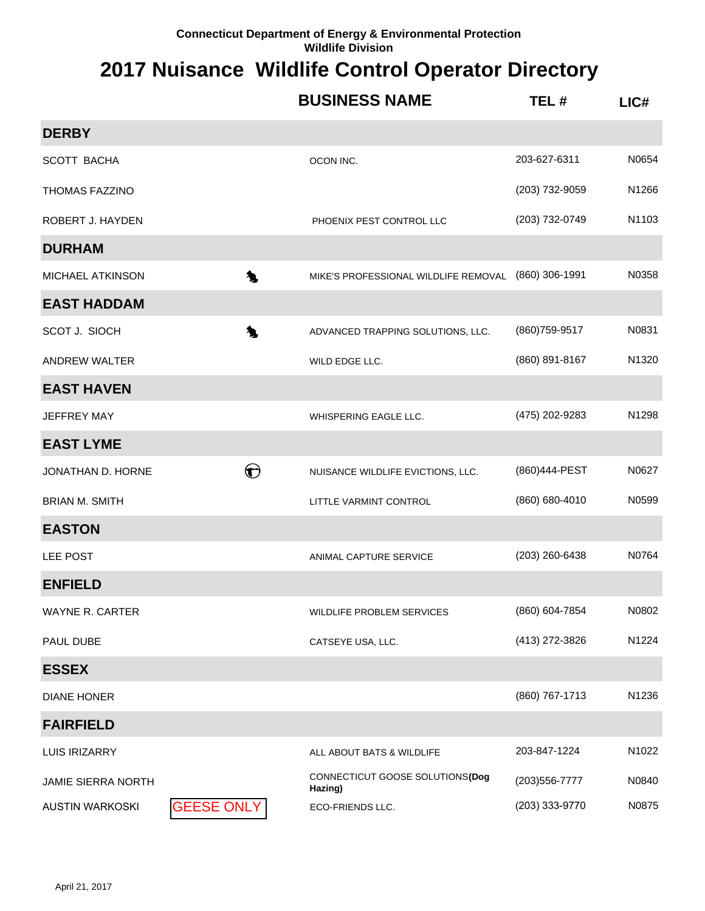|                           |                   | <b>BUSINESS NAME</b>                       | TEL#           | LIC#               |
|---------------------------|-------------------|--------------------------------------------|----------------|--------------------|
| <b>DERBY</b>              |                   |                                            |                |                    |
| <b>SCOTT BACHA</b>        |                   | OCON INC.                                  | 203-627-6311   | N0654              |
| <b>THOMAS FAZZINO</b>     |                   |                                            | (203) 732-9059 | N1266              |
| ROBERT J. HAYDEN          |                   | PHOENIX PEST CONTROL LLC                   | (203) 732-0749 | N1103              |
| <b>DURHAM</b>             |                   |                                            |                |                    |
| MICHAEL ATKINSON          | 九                 | MIKE'S PROFESSIONAL WILDLIFE REMOVAL       | (860) 306-1991 | N0358              |
| <b>EAST HADDAM</b>        |                   |                                            |                |                    |
| SCOT J. SIOCH             | 九                 | ADVANCED TRAPPING SOLUTIONS, LLC.          | (860) 759-9517 | N0831              |
| <b>ANDREW WALTER</b>      |                   | WILD EDGE LLC.                             | (860) 891-8167 | N1320              |
| <b>EAST HAVEN</b>         |                   |                                            |                |                    |
| <b>JEFFREY MAY</b>        |                   | WHISPERING EAGLE LLC.                      | (475) 202-9283 | N1298              |
| <b>EAST LYME</b>          |                   |                                            |                |                    |
| JONATHAN D. HORNE         | $\bigodot$        | NUISANCE WILDLIFE EVICTIONS, LLC.          | (860)444-PEST  | N0627              |
| <b>BRIAN M. SMITH</b>     |                   | LITTLE VARMINT CONTROL                     | (860) 680-4010 | N0599              |
| <b>EASTON</b>             |                   |                                            |                |                    |
| LEE POST                  |                   | ANIMAL CAPTURE SERVICE                     | (203) 260-6438 | N0764              |
| <b>ENFIELD</b>            |                   |                                            |                |                    |
| <b>WAYNE R. CARTER</b>    |                   | WILDLIFE PROBLEM SERVICES                  | (860) 604-7854 | N0802              |
| PAUL DUBE                 |                   | CATSEYE USA, LLC.                          | (413) 272-3826 | N1224              |
| <b>ESSEX</b>              |                   |                                            |                |                    |
| <b>DIANE HONER</b>        |                   |                                            | (860) 767-1713 | N1236              |
| <b>FAIRFIELD</b>          |                   |                                            |                |                    |
| <b>LUIS IRIZARRY</b>      |                   | ALL ABOUT BATS & WILDLIFE                  | 203-847-1224   | N <sub>1</sub> 022 |
| <b>JAMIE SIERRA NORTH</b> |                   | CONNECTICUT GOOSE SOLUTIONS(Dog<br>Hazing) | (203) 556-7777 | N0840              |
| <b>AUSTIN WARKOSKI</b>    | <b>GEESE ONLY</b> | ECO-FRIENDS LLC.                           | (203) 333-9770 | N0875              |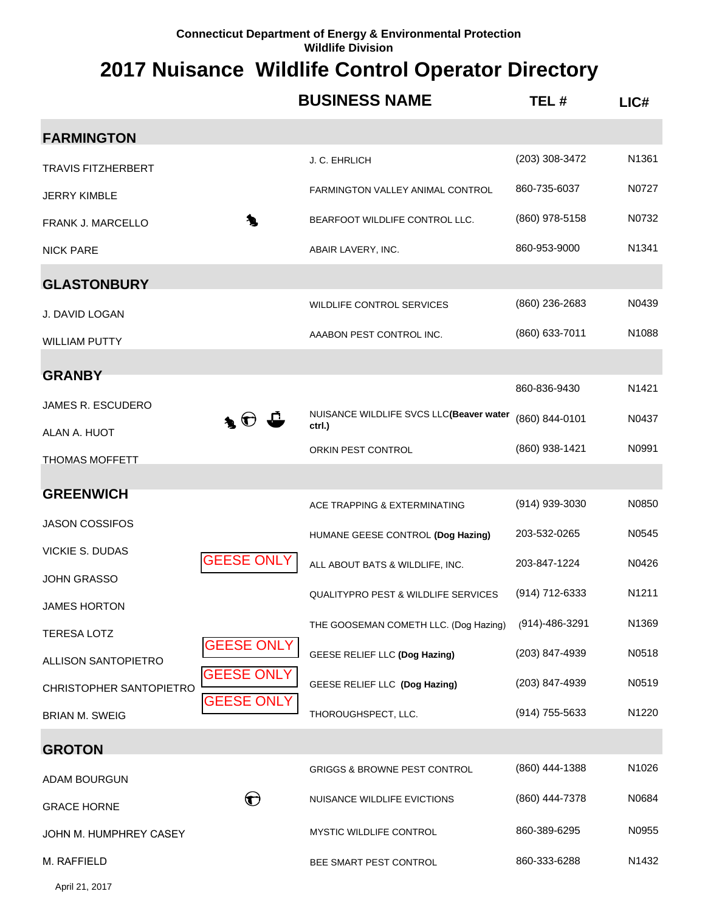#### **2017 Nuisance Wildlife Control Operator Directory**

|                                           |                                            | <b>BUSINESS NAME</b>                              | TEL#           | LICH              |
|-------------------------------------------|--------------------------------------------|---------------------------------------------------|----------------|-------------------|
| <b>FARMINGTON</b>                         |                                            |                                                   |                |                   |
| <b>TRAVIS FITZHERBERT</b>                 |                                            | J. C. EHRLICH                                     | (203) 308-3472 | N1361             |
| <b>JERRY KIMBLE</b>                       |                                            | FARMINGTON VALLEY ANIMAL CONTROL                  | 860-735-6037   | N0727             |
| FRANK J. MARCELLO                         | Æ.                                         | BEARFOOT WILDLIFE CONTROL LLC.                    | (860) 978-5158 | N0732             |
| <b>NICK PARE</b>                          |                                            | ABAIR LAVERY, INC.                                | 860-953-9000   | N <sub>1341</sub> |
| <b>GLASTONBURY</b>                        |                                            |                                                   |                |                   |
| J. DAVID LOGAN                            |                                            | WILDLIFE CONTROL SERVICES                         | (860) 236-2683 | N0439             |
| <b>WILLIAM PUTTY</b>                      |                                            | AAABON PEST CONTROL INC.                          | (860) 633-7011 | N1088             |
| <b>GRANBY</b>                             |                                            |                                                   |                |                   |
| JAMES R. ESCUDERO                         |                                            |                                                   | 860-836-9430   | N1421             |
| ALAN A. HUOT                              | $\blacktriangle$ $\Theta$ $\blacktriangle$ | NUISANCE WILDLIFE SVCS LLC(Beaver water<br>ctrl.) | (860) 844-0101 | N0437             |
| <b>THOMAS MOFFETT</b>                     |                                            | ORKIN PEST CONTROL                                | (860) 938-1421 | N0991             |
| <b>GREENWICH</b>                          |                                            |                                                   |                |                   |
|                                           |                                            | ACE TRAPPING & EXTERMINATING                      | (914) 939-3030 | N0850             |
| <b>JASON COSSIFOS</b>                     |                                            | HUMANE GEESE CONTROL (Dog Hazing)                 | 203-532-0265   | N0545             |
| <b>VICKIE S. DUDAS</b>                    | <b>GEESE ONLY</b>                          | ALL ABOUT BATS & WILDLIFE, INC.                   | 203-847-1224   | N0426             |
| <b>JOHN GRASSO</b><br><b>JAMES HORTON</b> |                                            | <b>QUALITYPRO PEST &amp; WILDLIFE SERVICES</b>    | (914) 712-6333 | N1211             |
| <b>TERESA LOTZ</b>                        |                                            | THE GOOSEMAN COMETH LLC. (Dog Hazing)             | (914)-486-3291 | N1369             |
| <b>ALLISON SANTOPIETRO</b>                | <b>GEESE ONLY</b>                          | GEESE RELIEF LLC (Dog Hazing)                     | (203) 847-4939 | N0518             |
| CHRISTOPHER SANTOPIETRO                   | <b>GEESE ONLY</b>                          | GEESE RELIEF LLC (Dog Hazing)                     | (203) 847-4939 | N0519             |
| <b>BRIAN M. SWEIG</b>                     | <b>GEESE ONLY</b>                          | THOROUGHSPECT, LLC.                               | (914) 755-5633 | N1220             |
| <b>GROTON</b>                             |                                            |                                                   |                |                   |
| ADAM BOURGUN                              |                                            | <b>GRIGGS &amp; BROWNE PEST CONTROL</b>           | (860) 444-1388 | N1026             |
| <b>GRACE HORNE</b>                        | $\bigodot$                                 | NUISANCE WILDLIFE EVICTIONS                       | (860) 444-7378 | N0684             |
| JOHN M. HUMPHREY CASEY                    |                                            | MYSTIC WILDLIFE CONTROL                           | 860-389-6295   | N0955             |
| M. RAFFIELD                               |                                            | BEE SMART PEST CONTROL                            | 860-333-6288   | N1432             |
|                                           |                                            |                                                   |                |                   |

April 21, 2017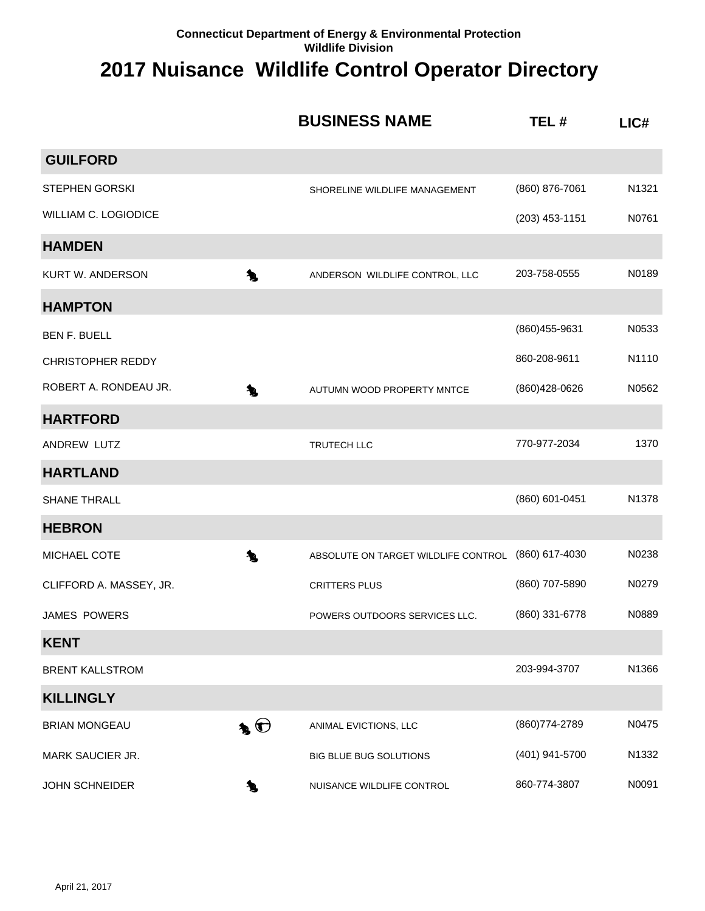|                             | <b>BUSINESS NAME</b>                     | TEL#             | LICH  |
|-----------------------------|------------------------------------------|------------------|-------|
| <b>GUILFORD</b>             |                                          |                  |       |
| <b>STEPHEN GORSKI</b>       | SHORELINE WILDLIFE MANAGEMENT            | (860) 876-7061   | N1321 |
| <b>WILLIAM C. LOGIODICE</b> |                                          | $(203)$ 453-1151 | N0761 |
| <b>HAMDEN</b>               |                                          |                  |       |
| <b>KURT W. ANDERSON</b>     | 乀<br>ANDERSON WILDLIFE CONTROL, LLC      | 203-758-0555     | N0189 |
| <b>HAMPTON</b>              |                                          |                  |       |
| <b>BEN F. BUELL</b>         |                                          | (860) 455-9631   | N0533 |
| <b>CHRISTOPHER REDDY</b>    |                                          | 860-208-9611     | N1110 |
| ROBERT A. RONDEAU JR.       | 匀<br>AUTUMN WOOD PROPERTY MNTCE          | (860) 428-0626   | N0562 |
| <b>HARTFORD</b>             |                                          |                  |       |
| ANDREW LUTZ                 | TRUTECH LLC                              | 770-977-2034     | 1370  |
| <b>HARTLAND</b>             |                                          |                  |       |
| <b>SHANE THRALL</b>         |                                          | (860) 601-0451   | N1378 |
| <b>HEBRON</b>               |                                          |                  |       |
| MICHAEL COTE                | 九<br>ABSOLUTE ON TARGET WILDLIFE CONTROL | (860) 617-4030   | N0238 |
| CLIFFORD A. MASSEY, JR.     | <b>CRITTERS PLUS</b>                     | (860) 707-5890   | N0279 |
| <b>JAMES POWERS</b>         | POWERS OUTDOORS SERVICES LLC.            | (860) 331-6778   | N0889 |
| <b>KENT</b>                 |                                          |                  |       |
| <b>BRENT KALLSTROM</b>      |                                          | 203-994-3707     | N1366 |
| <b>KILLINGLY</b>            |                                          |                  |       |
| <b>BRIAN MONGEAU</b>        | $\clubsuit$<br>ANIMAL EVICTIONS, LLC     | (860) 774-2789   | N0475 |
| MARK SAUCIER JR.            | BIG BLUE BUG SOLUTIONS                   | (401) 941-5700   | N1332 |
| <b>JOHN SCHNEIDER</b>       | NUISANCE WILDLIFE CONTROL<br>`L          | 860-774-3807     | N0091 |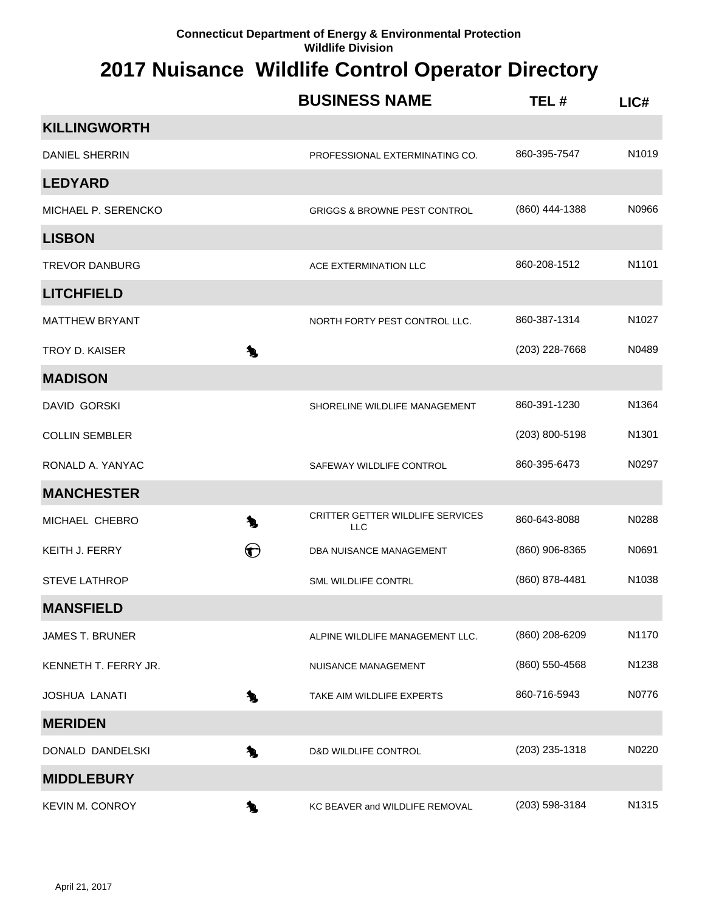|                        |             | <b>BUSINESS NAME</b>                           | TEL#           | LIC#  |
|------------------------|-------------|------------------------------------------------|----------------|-------|
| <b>KILLINGWORTH</b>    |             |                                                |                |       |
| DANIEL SHERRIN         |             | PROFESSIONAL EXTERMINATING CO.                 | 860-395-7547   | N1019 |
| <b>LEDYARD</b>         |             |                                                |                |       |
| MICHAEL P. SERENCKO    |             | <b>GRIGGS &amp; BROWNE PEST CONTROL</b>        | (860) 444-1388 | N0966 |
| <b>LISBON</b>          |             |                                                |                |       |
| <b>TREVOR DANBURG</b>  |             | ACE EXTERMINATION LLC                          | 860-208-1512   | N1101 |
| <b>LITCHFIELD</b>      |             |                                                |                |       |
| <b>MATTHEW BRYANT</b>  |             | NORTH FORTY PEST CONTROL LLC.                  | 860-387-1314   | N1027 |
| <b>TROY D. KAISER</b>  | 九           |                                                | (203) 228-7668 | N0489 |
| <b>MADISON</b>         |             |                                                |                |       |
| <b>DAVID GORSKI</b>    |             | SHORELINE WILDLIFE MANAGEMENT                  | 860-391-1230   | N1364 |
| <b>COLLIN SEMBLER</b>  |             |                                                | (203) 800-5198 | N1301 |
| RONALD A. YANYAC       |             | SAFEWAY WILDLIFE CONTROL                       | 860-395-6473   | N0297 |
| <b>MANCHESTER</b>      |             |                                                |                |       |
| MICHAEL CHEBRO         | 九           | <b>CRITTER GETTER WILDLIFE SERVICES</b><br>LLC | 860-643-8088   | N0288 |
| <b>KEITH J. FERRY</b>  | $\bigoplus$ | DBA NUISANCE MANAGEMENT                        | (860) 906-8365 | N0691 |
| <b>STEVE LATHROP</b>   |             | SML WILDLIFE CONTRL                            | (860) 878-4481 | N1038 |
| <b>MANSFIELD</b>       |             |                                                |                |       |
| JAMES T. BRUNER        |             | ALPINE WILDLIFE MANAGEMENT LLC.                | (860) 208-6209 | N1170 |
| KENNETH T. FERRY JR.   |             | NUISANCE MANAGEMENT                            | (860) 550-4568 | N1238 |
| <b>JOSHUA LANATI</b>   | L.          | TAKE AIM WILDLIFE EXPERTS                      | 860-716-5943   | N0776 |
| <b>MERIDEN</b>         |             |                                                |                |       |
| DONALD DANDELSKI       | 乀           | <b>D&amp;D WILDLIFE CONTROL</b>                | (203) 235-1318 | N0220 |
| <b>MIDDLEBURY</b>      |             |                                                |                |       |
| <b>KEVIN M. CONROY</b> | 复           | KC BEAVER and WILDLIFE REMOVAL                 | (203) 598-3184 | N1315 |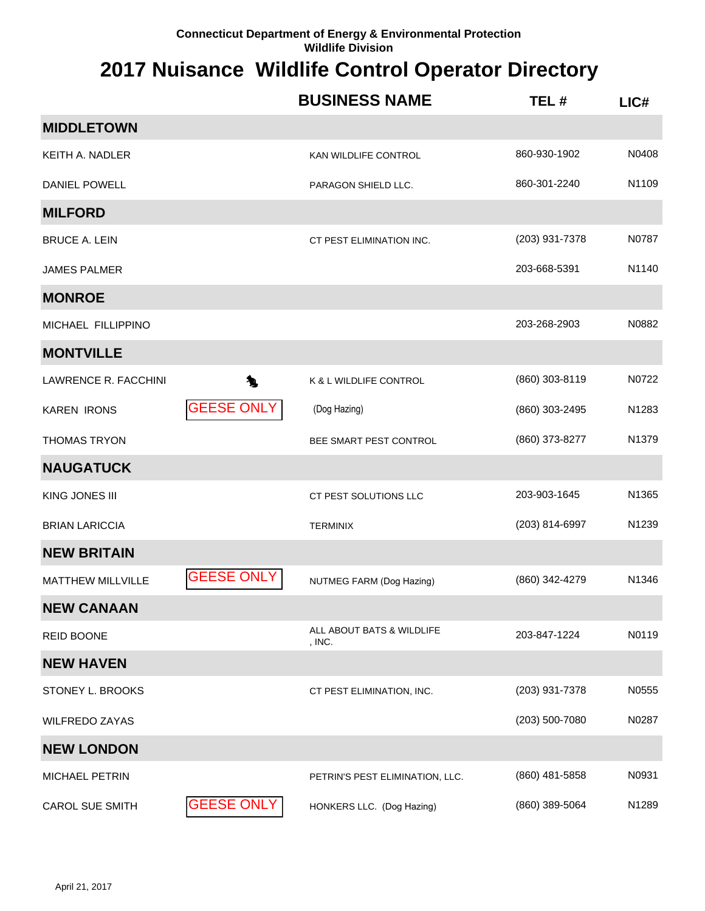|                             |                   | <b>BUSINESS NAME</b>                | TEL#           | LIC#  |
|-----------------------------|-------------------|-------------------------------------|----------------|-------|
| <b>MIDDLETOWN</b>           |                   |                                     |                |       |
| KEITH A. NADLER             |                   | KAN WILDLIFE CONTROL                | 860-930-1902   | N0408 |
| <b>DANIEL POWELL</b>        |                   | PARAGON SHIELD LLC.                 | 860-301-2240   | N1109 |
| <b>MILFORD</b>              |                   |                                     |                |       |
| <b>BRUCE A. LEIN</b>        |                   | CT PEST ELIMINATION INC.            | (203) 931-7378 | N0787 |
| <b>JAMES PALMER</b>         |                   |                                     | 203-668-5391   | N1140 |
| <b>MONROE</b>               |                   |                                     |                |       |
| MICHAEL FILLIPPINO          |                   |                                     | 203-268-2903   | N0882 |
| <b>MONTVILLE</b>            |                   |                                     |                |       |
| <b>LAWRENCE R. FACCHINI</b> | 九                 | K & L WILDLIFE CONTROL              | (860) 303-8119 | N0722 |
| <b>KAREN IRONS</b>          | <b>GEESE ONLY</b> | (Dog Hazing)                        | (860) 303-2495 | N1283 |
| <b>THOMAS TRYON</b>         |                   | BEE SMART PEST CONTROL              | (860) 373-8277 | N1379 |
| <b>NAUGATUCK</b>            |                   |                                     |                |       |
| KING JONES III              |                   | CT PEST SOLUTIONS LLC               | 203-903-1645   | N1365 |
| <b>BRIAN LARICCIA</b>       |                   | <b>TERMINIX</b>                     | (203) 814-6997 | N1239 |
| <b>NEW BRITAIN</b>          |                   |                                     |                |       |
| <b>MATTHEW MILLVILLE</b>    | <b>GEESE ONLY</b> | NUTMEG FARM (Dog Hazing)            | (860) 342-4279 | N1346 |
| <b>NEW CANAAN</b>           |                   |                                     |                |       |
| <b>REID BOONE</b>           |                   | ALL ABOUT BATS & WILDLIFE<br>, INC. | 203-847-1224   | N0119 |
| <b>NEW HAVEN</b>            |                   |                                     |                |       |
| STONEY L. BROOKS            |                   | CT PEST ELIMINATION, INC.           | (203) 931-7378 | N0555 |
| <b>WILFREDO ZAYAS</b>       |                   |                                     | (203) 500-7080 | N0287 |
| <b>NEW LONDON</b>           |                   |                                     |                |       |
| <b>MICHAEL PETRIN</b>       |                   | PETRIN'S PEST ELIMINATION, LLC.     | (860) 481-5858 | N0931 |
| <b>CAROL SUE SMITH</b>      | <b>GEESE ONLY</b> | HONKERS LLC. (Dog Hazing)           | (860) 389-5064 | N1289 |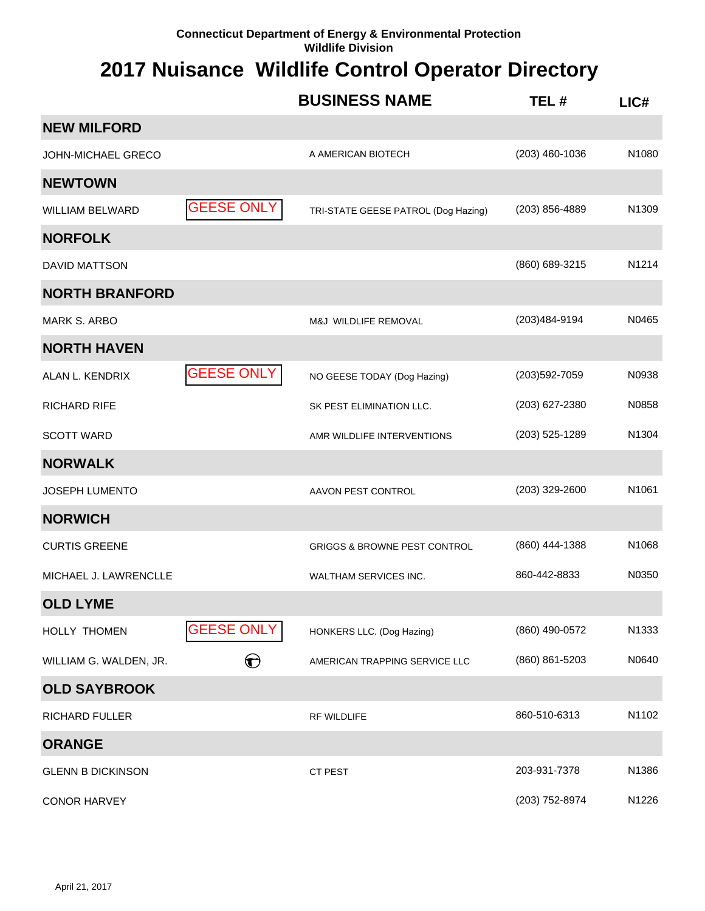|                          |                   | <b>BUSINESS NAME</b>                    | TEL#             | $LI$ C# |
|--------------------------|-------------------|-----------------------------------------|------------------|---------|
| <b>NEW MILFORD</b>       |                   |                                         |                  |         |
| JOHN-MICHAEL GRECO       |                   | A AMERICAN BIOTECH                      | $(203)$ 460-1036 | N1080   |
| <b>NEWTOWN</b>           |                   |                                         |                  |         |
| <b>WILLIAM BELWARD</b>   | <b>GEESE ONLY</b> | TRI-STATE GEESE PATROL (Dog Hazing)     | $(203)$ 856-4889 | N1309   |
| <b>NORFOLK</b>           |                   |                                         |                  |         |
| DAVID MATTSON            |                   |                                         | (860) 689-3215   | N1214   |
| <b>NORTH BRANFORD</b>    |                   |                                         |                  |         |
| <b>MARK S. ARBO</b>      |                   | M&J WILDLIFE REMOVAL                    | (203)484-9194    | N0465   |
| <b>NORTH HAVEN</b>       |                   |                                         |                  |         |
| ALAN L. KENDRIX          | <b>GEESE ONLY</b> | NO GEESE TODAY (Dog Hazing)             | (203) 592-7059   | N0938   |
| <b>RICHARD RIFE</b>      |                   | SK PEST ELIMINATION LLC.                | (203) 627-2380   | N0858   |
| <b>SCOTT WARD</b>        |                   | AMR WILDLIFE INTERVENTIONS              | (203) 525-1289   | N1304   |
| <b>NORWALK</b>           |                   |                                         |                  |         |
| <b>JOSEPH LUMENTO</b>    |                   | AAVON PEST CONTROL                      | (203) 329-2600   | N1061   |
| <b>NORWICH</b>           |                   |                                         |                  |         |
| <b>CURTIS GREENE</b>     |                   | <b>GRIGGS &amp; BROWNE PEST CONTROL</b> | (860) 444-1388   | N1068   |
| MICHAEL J. LAWRENCLLE    |                   | WALTHAM SERVICES INC.                   | 860-442-8833     | N0350   |
| <b>OLD LYME</b>          |                   |                                         |                  |         |
| HOLLY THOMEN             | <b>GEESE ONLY</b> | HONKERS LLC. (Dog Hazing)               | (860) 490-0572   | N1333   |
| WILLIAM G. WALDEN, JR.   | ❤                 | AMERICAN TRAPPING SERVICE LLC           | (860) 861-5203   | N0640   |
| <b>OLD SAYBROOK</b>      |                   |                                         |                  |         |
| <b>RICHARD FULLER</b>    |                   | <b>RF WILDLIFE</b>                      | 860-510-6313     | N1102   |
| <b>ORANGE</b>            |                   |                                         |                  |         |
| <b>GLENN B DICKINSON</b> |                   | CT PEST                                 | 203-931-7378     | N1386   |
| <b>CONOR HARVEY</b>      |                   |                                         | (203) 752-8974   | N1226   |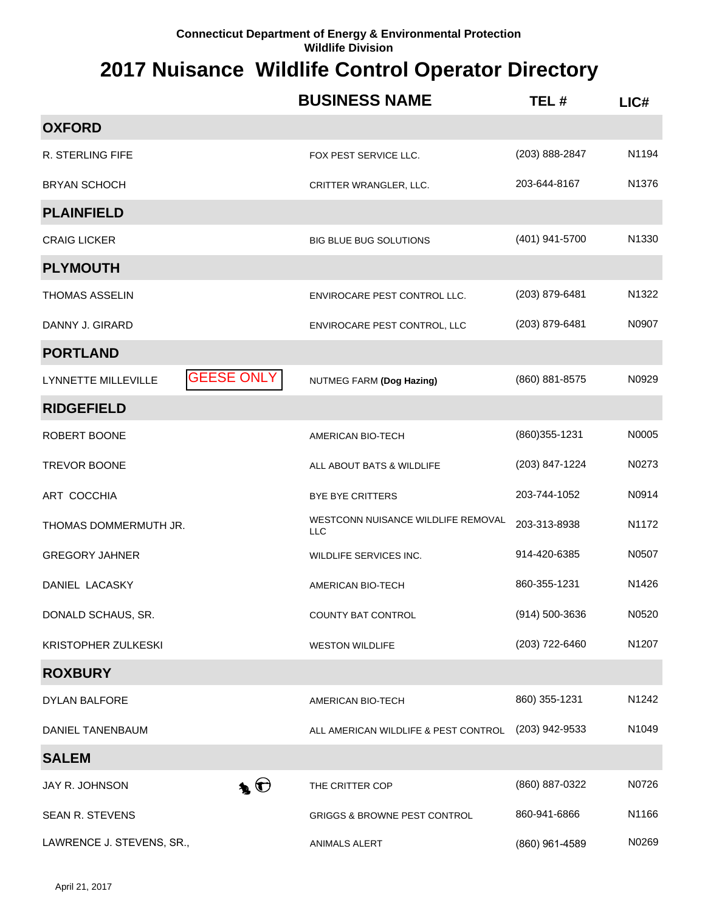|                                          | <b>BUSINESS NAME</b>                             | TEL#           | LIC#  |
|------------------------------------------|--------------------------------------------------|----------------|-------|
| <b>OXFORD</b>                            |                                                  |                |       |
| R. STERLING FIFE                         | FOX PEST SERVICE LLC.                            | (203) 888-2847 | N1194 |
| <b>BRYAN SCHOCH</b>                      | CRITTER WRANGLER, LLC.                           | 203-644-8167   | N1376 |
| <b>PLAINFIELD</b>                        |                                                  |                |       |
| <b>CRAIG LICKER</b>                      | <b>BIG BLUE BUG SOLUTIONS</b>                    | (401) 941-5700 | N1330 |
| <b>PLYMOUTH</b>                          |                                                  |                |       |
| <b>THOMAS ASSELIN</b>                    | ENVIROCARE PEST CONTROL LLC.                     | (203) 879-6481 | N1322 |
| DANNY J. GIRARD                          | ENVIROCARE PEST CONTROL, LLC                     | (203) 879-6481 | N0907 |
| <b>PORTLAND</b>                          |                                                  |                |       |
| <b>GEESE ONLY</b><br>LYNNETTE MILLEVILLE | NUTMEG FARM (Dog Hazing)                         | (860) 881-8575 | N0929 |
| <b>RIDGEFIELD</b>                        |                                                  |                |       |
| ROBERT BOONE                             | AMERICAN BIO-TECH                                | (860) 355-1231 | N0005 |
| <b>TREVOR BOONE</b>                      | ALL ABOUT BATS & WILDLIFE                        | (203) 847-1224 | N0273 |
| ART COCCHIA                              | <b>BYE BYE CRITTERS</b>                          | 203-744-1052   | N0914 |
| THOMAS DOMMERMUTH JR.                    | WESTCONN NUISANCE WILDLIFE REMOVAL<br><b>LLC</b> | 203-313-8938   | N1172 |
| <b>GREGORY JAHNER</b>                    | WILDLIFE SERVICES INC.                           | 914-420-6385   | N0507 |
| DANIEL LACASKY                           | AMERICAN BIO-TECH                                | 860-355-1231   | N1426 |
| DONALD SCHAUS, SR.                       | COUNTY BAT CONTROL                               | (914) 500-3636 | N0520 |
| KRISTOPHER ZULKESKI                      | <b>WESTON WILDLIFE</b>                           | (203) 722-6460 | N1207 |
| <b>ROXBURY</b>                           |                                                  |                |       |
| DYLAN BALFORE                            | AMERICAN BIO-TECH                                | 860) 355-1231  | N1242 |
| <b>DANIEL TANENBAUM</b>                  | ALL AMERICAN WILDLIFE & PEST CONTROL             | (203) 942-9533 | N1049 |
| <b>SALEM</b>                             |                                                  |                |       |
| $\clubsuit$<br>JAY R. JOHNSON            | THE CRITTER COP                                  | (860) 887-0322 | N0726 |
| SEAN R. STEVENS                          | <b>GRIGGS &amp; BROWNE PEST CONTROL</b>          | 860-941-6866   | N1166 |
| LAWRENCE J. STEVENS, SR.,                | ANIMALS ALERT                                    | (860) 961-4589 | N0269 |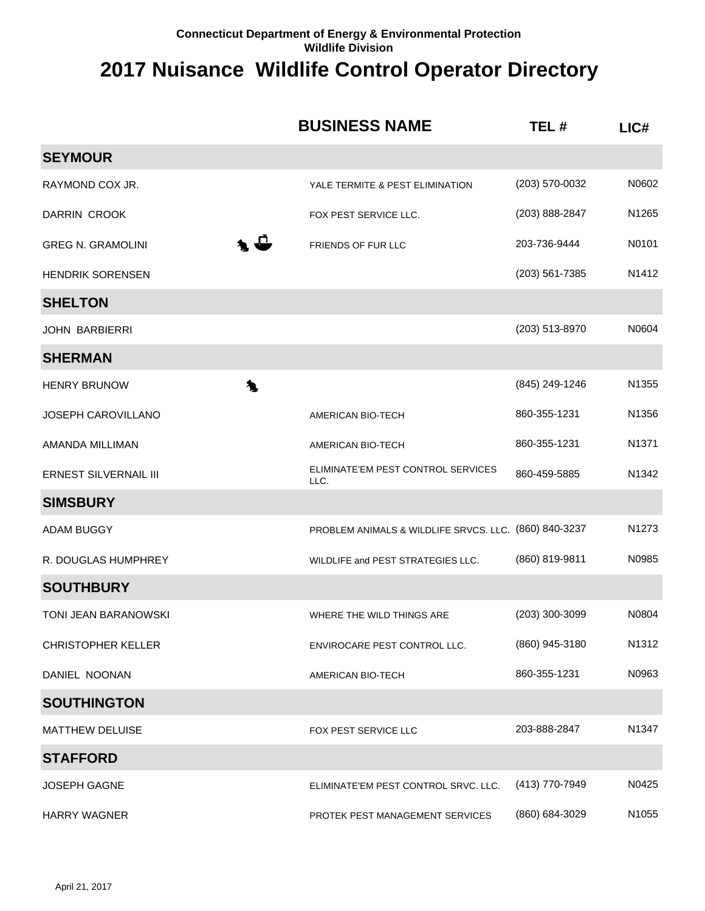|                              | <b>BUSINESS NAME</b>                                  | TEL#           | LIC#              |
|------------------------------|-------------------------------------------------------|----------------|-------------------|
| <b>SEYMOUR</b>               |                                                       |                |                   |
| RAYMOND COX JR.              | YALE TERMITE & PEST ELIMINATION                       | (203) 570-0032 | N0602             |
| DARRIN CROOK                 | FOX PEST SERVICE LLC.                                 | (203) 888-2847 | N1265             |
| <b>GREG N. GRAMOLINI</b>     | ◣┹<br>FRIENDS OF FUR LLC                              | 203-736-9444   | N0101             |
| <b>HENDRIK SORENSEN</b>      |                                                       | (203) 561-7385 | N1412             |
| <b>SHELTON</b>               |                                                       |                |                   |
| JOHN BARBIERRI               |                                                       | (203) 513-8970 | N0604             |
| <b>SHERMAN</b>               |                                                       |                |                   |
| <b>HENRY BRUNOW</b>          | 九                                                     | (845) 249-1246 | N1355             |
| JOSEPH CAROVILLANO           | AMERICAN BIO-TECH                                     | 860-355-1231   | N1356             |
| AMANDA MILLIMAN              | AMERICAN BIO-TECH                                     | 860-355-1231   | N <sub>1371</sub> |
| <b>ERNEST SILVERNAIL III</b> | ELIMINATE'EM PEST CONTROL SERVICES<br>LLC.            | 860-459-5885   | N1342             |
| <b>SIMSBURY</b>              |                                                       |                |                   |
| <b>ADAM BUGGY</b>            | PROBLEM ANIMALS & WILDLIFE SRVCS. LLC. (860) 840-3237 |                | N1273             |
| R. DOUGLAS HUMPHREY          | WILDLIFE and PEST STRATEGIES LLC.                     | (860) 819-9811 | N0985             |
| <b>SOUTHBURY</b>             |                                                       |                |                   |
| TONI JEAN BARANOWSKI         | WHERE THE WILD THINGS ARE                             | (203) 300-3099 | N0804             |
| <b>CHRISTOPHER KELLER</b>    | ENVIROCARE PEST CONTROL LLC.                          | (860) 945-3180 | N <sub>1312</sub> |
| DANIEL NOONAN                | AMERICAN BIO-TECH                                     | 860-355-1231   | N0963             |
| <b>SOUTHINGTON</b>           |                                                       |                |                   |
| <b>MATTHEW DELUISE</b>       | FOX PEST SERVICE LLC                                  | 203-888-2847   | N1347             |
| <b>STAFFORD</b>              |                                                       |                |                   |
| <b>JOSEPH GAGNE</b>          | ELIMINATE'EM PEST CONTROL SRVC. LLC.                  | (413) 770-7949 | N0425             |
| <b>HARRY WAGNER</b>          | PROTEK PEST MANAGEMENT SERVICES                       | (860) 684-3029 | N1055             |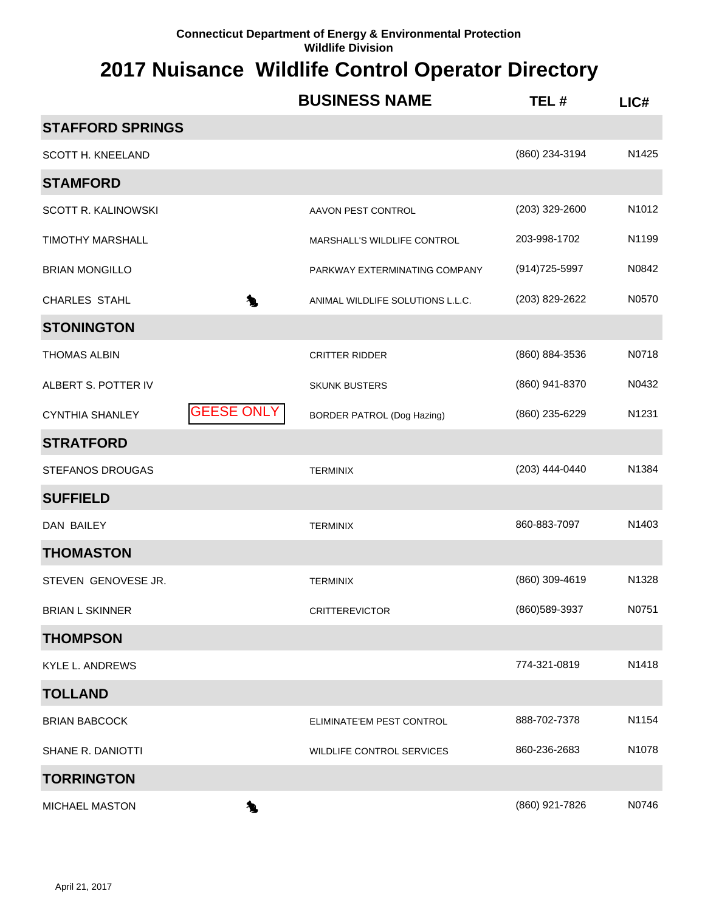|                         |                   | <b>BUSINESS NAME</b>              | TEL#           | LIC#              |
|-------------------------|-------------------|-----------------------------------|----------------|-------------------|
| <b>STAFFORD SPRINGS</b> |                   |                                   |                |                   |
| SCOTT H. KNEELAND       |                   |                                   | (860) 234-3194 | N1425             |
| <b>STAMFORD</b>         |                   |                                   |                |                   |
| SCOTT R. KALINOWSKI     |                   | AAVON PEST CONTROL                | (203) 329-2600 | N1012             |
| <b>TIMOTHY MARSHALL</b> |                   | MARSHALL'S WILDLIFE CONTROL       | 203-998-1702   | N1199             |
| <b>BRIAN MONGILLO</b>   |                   | PARKWAY EXTERMINATING COMPANY     | (914) 725-5997 | N0842             |
| CHARLES STAHL           | 九                 | ANIMAL WILDLIFE SOLUTIONS L.L.C.  | (203) 829-2622 | N0570             |
| <b>STONINGTON</b>       |                   |                                   |                |                   |
| <b>THOMAS ALBIN</b>     |                   | <b>CRITTER RIDDER</b>             | (860) 884-3536 | N0718             |
| ALBERT S. POTTER IV     |                   | <b>SKUNK BUSTERS</b>              | (860) 941-8370 | N0432             |
| <b>CYNTHIA SHANLEY</b>  | <b>GEESE ONLY</b> | <b>BORDER PATROL (Dog Hazing)</b> | (860) 235-6229 | N1231             |
| <b>STRATFORD</b>        |                   |                                   |                |                   |
| <b>STEFANOS DROUGAS</b> |                   | <b>TERMINIX</b>                   | (203) 444-0440 | N1384             |
| <b>SUFFIELD</b>         |                   |                                   |                |                   |
| DAN BAILEY              |                   | <b>TERMINIX</b>                   | 860-883-7097   | N1403             |
| <b>THOMASTON</b>        |                   |                                   |                |                   |
| STEVEN GENOVESE JR.     |                   | <b>TERMINIX</b>                   | (860) 309-4619 | N1328             |
| <b>BRIAN L SKINNER</b>  |                   | <b>CRITTEREVICTOR</b>             | (860) 589-3937 | N0751             |
| <b>THOMPSON</b>         |                   |                                   |                |                   |
| <b>KYLE L. ANDREWS</b>  |                   |                                   | 774-321-0819   | N1418             |
| <b>TOLLAND</b>          |                   |                                   |                |                   |
| <b>BRIAN BABCOCK</b>    |                   | ELIMINATE'EM PEST CONTROL         | 888-702-7378   | N1154             |
| SHANE R. DANIOTTI       |                   | WILDLIFE CONTROL SERVICES         | 860-236-2683   | N <sub>1078</sub> |
| <b>TORRINGTON</b>       |                   |                                   |                |                   |
| MICHAEL MASTON          | 怎                 |                                   | (860) 921-7826 | N0746             |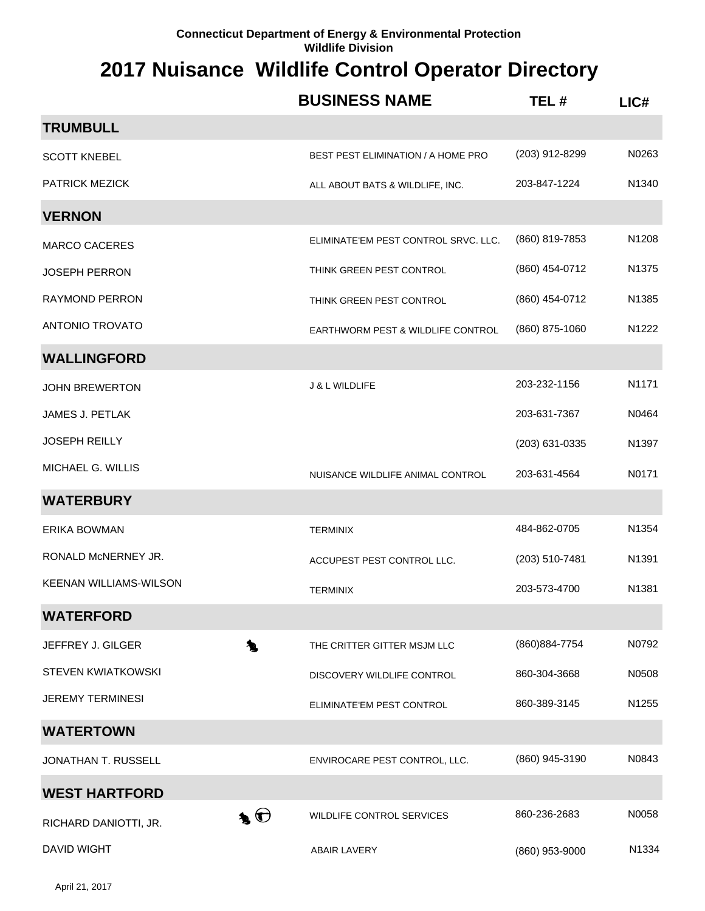|                               | <b>BUSINESS NAME</b>                      | TEL#           | LIC#              |
|-------------------------------|-------------------------------------------|----------------|-------------------|
| <b>TRUMBULL</b>               |                                           |                |                   |
| <b>SCOTT KNEBEL</b>           | <b>BEST PEST ELIMINATION / A HOME PRO</b> | (203) 912-8299 | N0263             |
| <b>PATRICK MEZICK</b>         | ALL ABOUT BATS & WILDLIFE, INC.           | 203-847-1224   | N1340             |
| <b>VERNON</b>                 |                                           |                |                   |
| <b>MARCO CACERES</b>          | ELIMINATE'EM PEST CONTROL SRVC. LLC.      | (860) 819-7853 | N1208             |
| <b>JOSEPH PERRON</b>          | THINK GREEN PEST CONTROL                  | (860) 454-0712 | N <sub>1375</sub> |
| <b>RAYMOND PERRON</b>         | THINK GREEN PEST CONTROL                  | (860) 454-0712 | N1385             |
| <b>ANTONIO TROVATO</b>        | EARTHWORM PEST & WILDLIFE CONTROL         | (860) 875-1060 | N1222             |
| <b>WALLINGFORD</b>            |                                           |                |                   |
| <b>JOHN BREWERTON</b>         | <b>J &amp; L WILDLIFE</b>                 | 203-232-1156   | N1171             |
| <b>JAMES J. PETLAK</b>        |                                           | 203-631-7367   | N0464             |
| <b>JOSEPH REILLY</b>          |                                           | (203) 631-0335 | N1397             |
| MICHAEL G. WILLIS             | NUISANCE WILDLIFE ANIMAL CONTROL          | 203-631-4564   | N0171             |
| <b>WATERBURY</b>              |                                           |                |                   |
| <b>ERIKA BOWMAN</b>           | <b>TERMINIX</b>                           | 484-862-0705   | N1354             |
| RONALD McNERNEY JR.           | ACCUPEST PEST CONTROL LLC.                | (203) 510-7481 | N1391             |
| <b>KEENAN WILLIAMS-WILSON</b> | <b>TERMINIX</b>                           | 203-573-4700   | N1381             |
| <b>WATERFORD</b>              |                                           |                |                   |
| 九<br>JEFFREY J. GILGER        | THE CRITTER GITTER MSJM LLC               | (860) 884-7754 | N0792             |
| <b>STEVEN KWIATKOWSKI</b>     | DISCOVERY WILDLIFE CONTROL                | 860-304-3668   | N0508             |
| <b>JEREMY TERMINESI</b>       | ELIMINATE'EM PEST CONTROL                 | 860-389-3145   | N1255             |
| <b>WATERTOWN</b>              |                                           |                |                   |
| JONATHAN T. RUSSELL           | ENVIROCARE PEST CONTROL, LLC.             | (860) 945-3190 | N0843             |
| <b>WEST HARTFORD</b>          |                                           |                |                   |
| L O<br>RICHARD DANIOTTI, JR.  | <b>WILDLIFE CONTROL SERVICES</b>          | 860-236-2683   | N0058             |
| <b>DAVID WIGHT</b>            | <b>ABAIR LAVERY</b>                       | (860) 953-9000 | N1334             |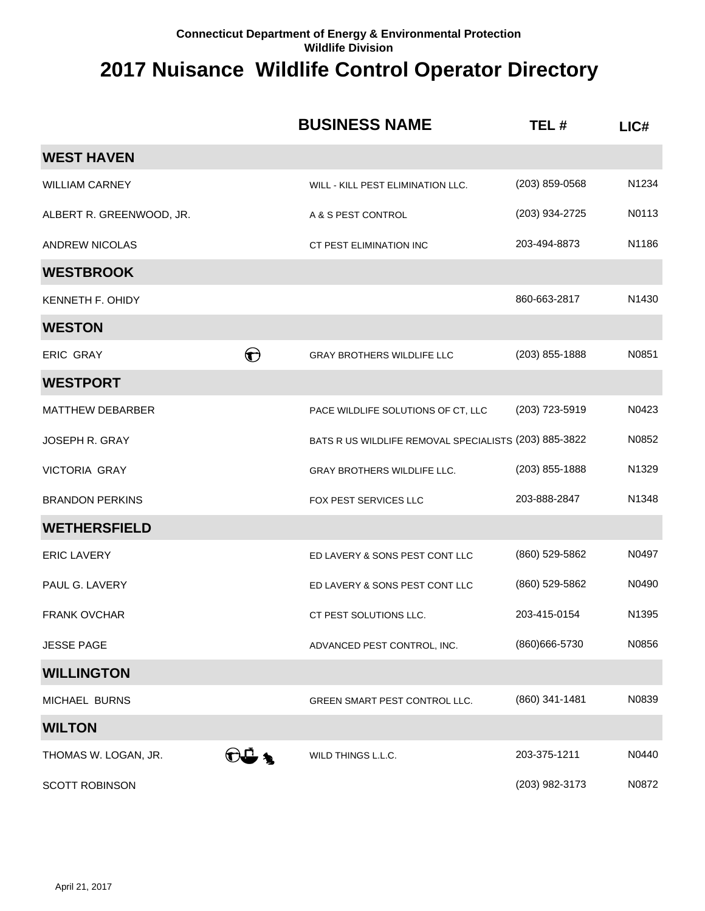|                          |                        | <b>BUSINESS NAME</b>                                  | TEL#           | LIC#  |
|--------------------------|------------------------|-------------------------------------------------------|----------------|-------|
| <b>WEST HAVEN</b>        |                        |                                                       |                |       |
| <b>WILLIAM CARNEY</b>    |                        | WILL - KILL PEST ELIMINATION LLC.                     | (203) 859-0568 | N1234 |
| ALBERT R. GREENWOOD, JR. |                        | A & S PEST CONTROL                                    | (203) 934-2725 | N0113 |
| <b>ANDREW NICOLAS</b>    |                        | CT PEST ELIMINATION INC                               | 203-494-8873   | N1186 |
| <b>WESTBROOK</b>         |                        |                                                       |                |       |
| KENNETH F. OHIDY         |                        |                                                       | 860-663-2817   | N1430 |
| <b>WESTON</b>            |                        |                                                       |                |       |
| <b>ERIC GRAY</b>         | $\boldsymbol{\Theta}$  | <b>GRAY BROTHERS WILDLIFE LLC</b>                     | (203) 855-1888 | N0851 |
| <b>WESTPORT</b>          |                        |                                                       |                |       |
| <b>MATTHEW DEBARBER</b>  |                        | PACE WILDLIFE SOLUTIONS OF CT, LLC                    | (203) 723-5919 | N0423 |
| <b>JOSEPH R. GRAY</b>    |                        | BATS R US WILDLIFE REMOVAL SPECIALISTS (203) 885-3822 |                | N0852 |
| <b>VICTORIA GRAY</b>     |                        | <b>GRAY BROTHERS WILDLIFE LLC.</b>                    | (203) 855-1888 | N1329 |
| <b>BRANDON PERKINS</b>   |                        | <b>FOX PEST SERVICES LLC</b>                          | 203-888-2847   | N1348 |
| <b>WETHERSFIELD</b>      |                        |                                                       |                |       |
| <b>ERIC LAVERY</b>       |                        | ED LAVERY & SONS PEST CONT LLC                        | (860) 529-5862 | N0497 |
| PAUL G. LAVERY           |                        | ED LAVERY & SONS PEST CONT LLC                        | (860) 529-5862 | N0490 |
| <b>FRANK OVCHAR</b>      |                        | CT PEST SOLUTIONS LLC.                                | 203-415-0154   | N1395 |
| <b>JESSE PAGE</b>        |                        | ADVANCED PEST CONTROL, INC.                           | (860) 666-5730 | N0856 |
| <b>WILLINGTON</b>        |                        |                                                       |                |       |
| MICHAEL BURNS            |                        | <b>GREEN SMART PEST CONTROL LLC.</b>                  | (860) 341-1481 | N0839 |
| <b>WILTON</b>            |                        |                                                       |                |       |
| THOMAS W. LOGAN, JR.     | $\widehat{\mathbf{r}}$ | WILD THINGS L.L.C.                                    | 203-375-1211   | N0440 |
| <b>SCOTT ROBINSON</b>    |                        |                                                       | (203) 982-3173 | N0872 |